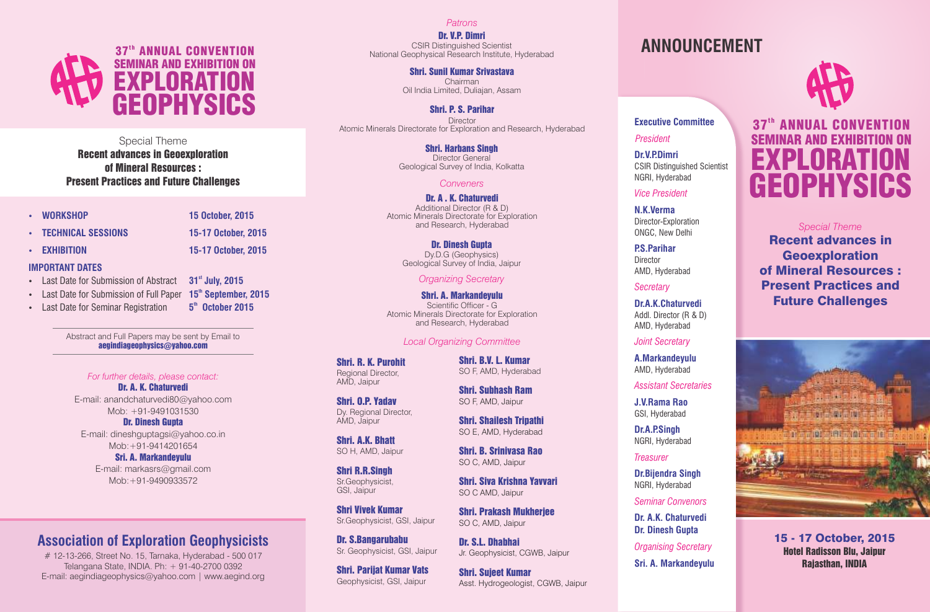

Special Theme Recent advances in Geoexploration of Mineral Resources : Present Practices and Future Challenges

- **WORKSHOP 15 October, 2015**
	-
- **TECHNICAL SESSIONS 15-17 October, 2015**
- **EXHIBITION 15-17 October, 2015**
- 

- **IMPORTANT DATES**
- Last Date for Submission of Abstract **31<sup>st</sup> July, 2015**
- Last Date for Submission of Full Paper **15<sup>th</sup> September, 2015**
- Last Date for Seminar Registration **5<sup>th</sup> October 2015**

Abstract and Full Papers may be sent by Email to aegindiageophysics@yahoo.com

### *For further details, please contact:*

Dr. A. K. Chaturvedi E-mail: anandchaturvedi80@yahoo.com Mob: +91-9491031530

Dr. Dinesh Gupta E-mail: dineshguptagsi@yahoo.co.in Mob:+91-9414201654

Sri. A. Markandeyulu

E-mail: markasrs@gmail.com Mob:+91-9490933572

## **Association of Exploration Geophysicists**

# 12-13-266, Street No. 15, Tarnaka, Hyderabad - 500 017 Telangana State, INDIA. Ph: + 91-40-2700 0392 E-mail: aegindiageophysics@yahoo.com | www.aegind.org *Patrons*

Dr. V.P. Dimri CSIR Distinguished Scientist National Geophysical Research Institute, Hyderabad

> Shri. Sunil Kumar Srivastava Chairman Oil India Limited, Duliajan, Assam

Shri. P. S. Parihar **Director** Atomic Minerals Directorate for Exploration and Research, Hyderabad

> Shri. Harbans Singh Director General Geological Survey of India, Kolkatta

## *Conveners*

Dr. A . K. Chaturvedi Additional Director (R & D) Atomic Minerals Directorate for Exploration and Research, Hyderabad

> Dr. Dinesh Gupta Dy.D.G (Geophysics) Geological Survey of India, Jaipur

## *Organizing Secretary*

Shri. A. Markandeyulu Scientific Officer - G Atomic Minerals Directorate for Exploration and Research, Hyderabad

## *Local Organizing Committee*

Shri. R. K. Purohit Regional Director, AMD, Jaipur

Shri. O.P. Yadav Dy. Regional Director, AMD, Jaipur

Shri. A.K. Bhatt SO H, AMD, Jaipur

Shri R.R.Singh Sr.Geophysicist, GSI, Jaipur

Shri Vivek Kumar Sr.Geophysicist, GSI, Jaipur

Dr. S.Bangarubabu Sr. Geophysicist, GSI, Jaipur

Shri. Parijat Kumar Vats Geophysicist, GSI, Jaipur

**ANNOUNCEMENT**



# 37<sup>th</sup> ANNUAL CONVENTION **SEMINAR AND EXHIBITION** EXPLORATI **GEOPHYSICS**

*Special Theme*

Recent advances in Geoexploration of Mineral Resources : Present Practices and Future Challenges

**Dr.A.K.Chaturvedi** Addl. Director (R & D) AMD, Hyderabad

**Executive Committee**

CSIR Distinguished Scientist

*President* **Dr.V.P.Dimri**

NGRI, Hyderabad *Vice President* **N.K.Verma** Director-Exploration ONGC, New Delhi **P.S.Parihar** Director AMD, Hyderabad

*Joint Secretary*

*Secretary*

**A.Markandeyulu** AMD, Hyderabad

*Assistant Secretaries*

**J.V.Rama Rao** GSI, Hyderabad

**Dr.A.P.Singh** NGRI, Hyderabad

*Treasurer*

**Dr.Bijendra Singh** NGRI, Hyderabad

*Seminar Convenors*

**Dr. A.K. Chaturvedi Dr. Dinesh Gupta**

*Organising Secretary*

**Sri. A. Markandeyulu**



15 - 17 October, 2015 Hotel Radisson Blu, Jaipur Rajasthan, INDIA

SO F, AMD, Hyderabad

Shri. B.V. L. Kumar

Shri. Subhash Ram SO F, AMD, Jaipur

Shri. Shailesh Tripathi SO E, AMD, Hyderabad

Shri. B. Srinivasa Rao SO C, AMD, Jaipur

Shri. Siva Krishna Yavvari SO C AMD, Jaipur

Shri. Prakash Mukherjee SO C, AMD, Jaipur

Dr. S.L. Dhabhai Jr. Geophysicist, CGWB, Jaipur

Shri. Sujeet Kumar Asst. Hydrogeologist, CGWB, Jaipur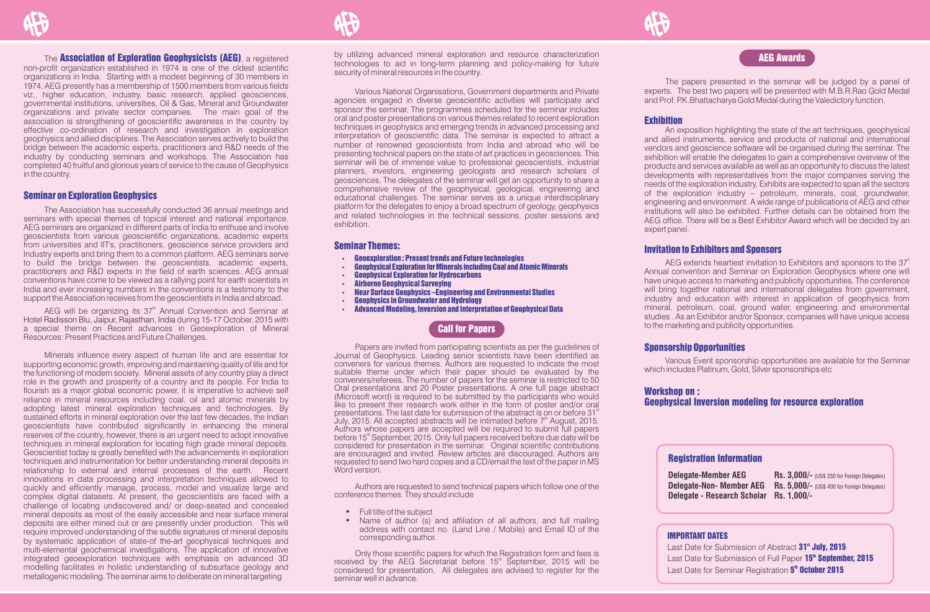#### The **Association of Exploration Geophysicists (AEG)**, a registered

non-profit organization established in 1974 is one of the oldest scientific organizations in India. Starting with a modest beginning of 30 members in 1974, AEG presently has a membership of 1500 members from various fields viz., higher education, industry, basic research, applied geosciences, governmental institutions, universities, Oil & Gas, Mineral and Groundwater organizations and private sector companies. The main goal of the association is strengthening of geoscientific awareness in the country by effective co-ordination of research and investigation in exploration geophysics and allied disciplines. The Association serves actively to build the bridge between the academic experts, practitioners and R&D needs of the industry by conducting seminars and workshops. The Association has completed 40 fruitful and glorious years of service to the cause of Geophysics in the country.

#### Seminar on Exploration Geophysics

The Association has successfully conducted 36 annual meetings and seminars with special themes of topical interest and national importance. AEG seminars are organized in different parts of India to enthuse and involve geoscientists from various geoscientific organizations, academic experts from universities and IIT's, practitioners, geoscience service providers and Industry experts and bring them to a common platform. AEG seminars serve to build the bridge between the geoscientists, academic experts, practitioners and R&D experts in the field of earth sciences. AEG annual conventions have come to be viewed as a rallying point for earth scientists in India and ever increasing numbers in the conventions is a testimony to the support the Association receives from the geoscientists in India and abroad.

AEG will be organizing its  $37<sup>th</sup>$  Annual Convention and Seminar at Hotel Radisson Blu, Jaipur, Rajasthan, India during 15-17 October, 2015 with a special theme on Recent advances in Geoexploration of Mineral Resources: Present Practices and Future Challenges.

Minerals influence every aspect of human life and are essential for supporting economic growth, improving and maintaining quality of life and for the functioning of modern society. Mineral assets of any country play a direct role in the growth and prosperity of a country and its people. For India to flourish as a major global economic power, it is imperative to achieve self reliance in mineral resources including coal, oil and atomic minerals by adopting latest mineral exploration techniques and technologies. By sustained efforts in mineral exploration over the last few decades, the Indian geoscientists have contributed significantly in enhancing the mineral reserves of the country, however, there is an urgent need to adopt innovative techniques in mineral exploration for locating high grade mineral deposits. Geoscientist today is greatly benefited with the advancements in exploration techniques and instrumentation for better understanding mineral deposits in relationship to external and internal processes of the earth. Recent innovations in data processing and interpretation techniques allowed to quickly and efficiently manage, process, model and visualize large and complex digital datasets. At present, the geoscientists are faced with a challenge of locating undiscovered and/ or deep-seated and concealed mineral deposits as most of the easily accessible and near surface mineral deposits are either mined out or are presently under production. This will require improved understanding of the subtle signatures of mineral deposits by systematic application of state-of the-art geophysical techniques and multi-elemental geochemical investigations. The application of innovative integrated geoexploration techniques with emphasis on advanced 3D modelling facilitates in holistic understanding of subsurface geology and metallogenic modeling. The seminar aims to deliberate on mineral targeting

by utilizing advanced mineral exploration and resource characterization technologies to aid in long-term planning and policy-making for future security of mineral resources in the country.

Various National Organisations, Government departments and Private agencies engaged in diverse geoscientific activities will participate and sponsor the seminar. The programmes scheduled for the seminar includes oral and poster presentations on various themes related to recent exploration techniques in geophysics and emerging trends in advanced processing and interpretation of geoscientific data. The seminar is expected to attract a number of renowned geoscientists from India and abroad who will be presenting technical papers on the state of art practices in geosciences. This seminar will be of immense value to professional geoscientists, industrial planners, investors, engineering geologists and research scholars of geosciences. The delegates of the seminar will get an opportunity to share a comprehensive review of the geophysical, geological, engineering and educational challenges. The seminar serves as a unique interdisciplinary platform for the delegates to enjoy a broad spectrum of geology, geophysics and related technologies in the technical sessions, poster sessions and exhibition.

#### Seminar Themes:

- Geoexploration : Present trends and Future technologies
- **Geophysical Exploration for Minerals including Coal and Atomic Minerals**
- Geophysical Exploration for Hydrocarbons
- Airborne Geophysical Surveying
- Near Surface Geophysics –Engineering and Environmental Studies
- Geophysics in Groundwater and Hydrology
- Advanced Modeling, Inversion and Interpretation of Geophysical Data

## Call for Papers

Papers are invited from participating scientists as per the guidelines of Journal of Geophysics. Leading senior scientists have been identified as conveners for various themes. Authors are requested to indicate the most suitable theme under which their paper should be evaluated by the conveners/referees. The number of papers for the seminar is restricted to 50 Oral presentations and 20 Poster presentations. A one full page abstract (Microsoft word) is required to be submitted by the participants who would like to present their research work either in the form of poster and/or oral presentations. The last date for submission of the abstract is on or before 31<sup>st</sup> July, 2015. All accepted abstracts will be intimated before 7<sup>th</sup> August, 2015. Authors whose papers are accepted will be required to submit full papers before 15<sup>th</sup> September, 2015. Only full papers received before due date will be considered for presentation in the seminar. Original scientific contributions are encouraged and invited. Review articles are discouraged. Authors are requested to send two hard copies and a CD/email the text of the paper in MS Word version.

Authors are requested to send technical papers which follow one of the conference themes. They should include

- Full title of the subject
- Name of author (s) and affiliation of all authors, and full mailing address with contact no. (Land Line / Mobile) and Email ID of the corresponding author.

Only those scientific papers for which the Registration form and fees is received by the AEG Secretariat before 15<sup>th</sup> September, 2015 will be considered for presentation. All delegates are advised to register for the seminar well in advance.

## AEG Awards

The papers presented in the seminar will be judged by a panel of experts. The best two papers will be presented with M.B.R.Rao Gold Medal and Prof. P.K.Bhattacharya Gold Medal during the Valedictory function.

#### **Exhibition**

An exposition highlighting the state of the art techniques, geophysical and allied instruments, service and products of national and international vendors and geoscience software will be organised during the seminar. The exhibition will enable the delegates to gain a comprehensive overview of the products and services available as well as an opportunity to discuss the latest developments with representatives from the major companies serving the needs of the exploration industry. Exhibits are expected to span all the sectors of the exploration industry – petroleum, minerals, coal, groundwater, engineering and environment. A wide range of publications of AEG and other institutions will also be exhibited. Further details can be obtained from the AEG office. There will be a Best Exhibitor Award which will be decided by an expert panel.

#### Invitation to Exhibitors and Sponsors

AEG extends heartiest invitation to Exhibitors and sponsors to the  $37<sup>h</sup>$ Annual convention and Seminar on Exploration Geophysics where one will have unique access to marketing and publicity opportunities. The conference will bring together national and international delegates from government. industry and education with interest in application of geophysics from mineral, petroleum, coal, ground water, engineering and environmental studies . As an Exhibitor and/or Sponsor, companies will have unique access to the marketing and publicity opportunities.

#### Sponsorship Opportunities

Various Event sponsorship opportunities are available for the Seminar which includes Platinum, Gold, Silver sponsorships etc

#### Workshop on :

Geophysical Inversion modeling for resource exploration

#### Registration Information

**Delegate - Research Scholar Rs. 1,000/-** 

**Delegate-Member AEG** Rs. 3,000/- (US\$ 250 for Foreign Delegates) **Delegate-Non- Member AEG Rs. 5,000/- (US\$ 400 for Foreign Delegates)** 

#### IMPORTANT DATES

Last Date for Submission of Abstract 31<sup>st</sup> July, 2015 Last Date for Submission of Full Paper 15<sup>th</sup> September, 2015 Last Date for Seminar Registration 5<sup>th</sup> October 2015